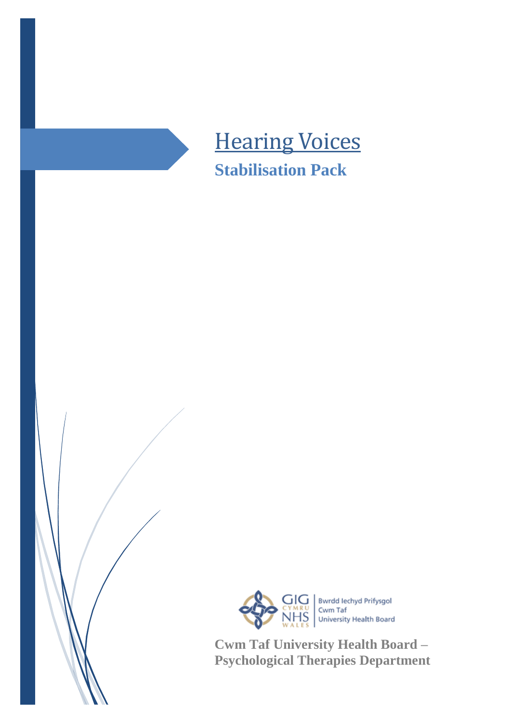



**Cwm Taf University Health Board – Psychological Therapies Department**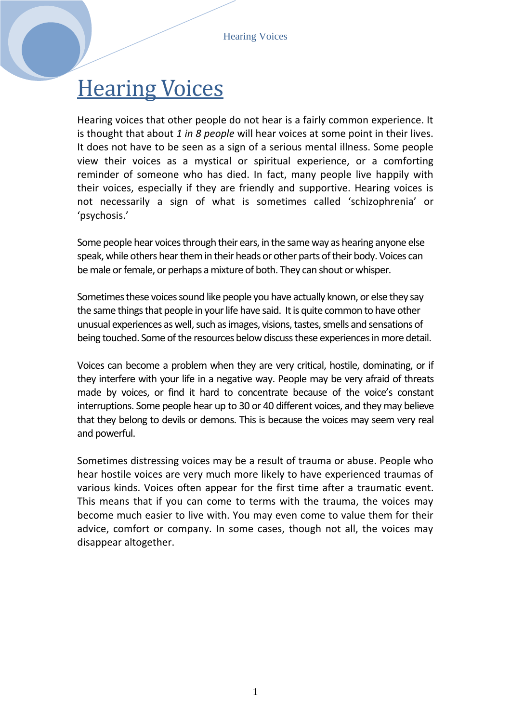# **Hearing Voices**

Hearing voices that other people do not hear is a fairly common experience. It is thought that about *1 in 8 people* will hear voices at some point in their lives. It does not have to be seen as a sign of a serious mental illness. Some people view their voices as a mystical or spiritual experience, or a comforting reminder of someone who has died. In fact, many people live happily with their voices, especially if they are friendly and supportive. Hearing voices is not necessarily a sign of what is sometimes called 'schizophrenia' or 'psychosis.'

Some people hear voices through their ears, in the same way as hearing anyone else speak, while others hear them in their heads or other parts of their body. Voices can be male or female, or perhaps a mixture of both. They can shout or whisper.

Sometimes these voices sound like people you have actually known, or else they say the same things that people in your life have said. It is quite common to have other unusual experiences as well, such as images, visions, tastes, smells and sensations of being touched. Some of the resources below discuss these experiences in more detail.

Voices can become a problem when they are very critical, hostile, dominating, or if they interfere with your life in a negative way. People may be very afraid of threats made by voices, or find it hard to concentrate because of the voice's constant interruptions. Some people hear up to 30 or 40 different voices, and they may believe that they belong to devils or demons. This is because the voices may seem very real and powerful.

Sometimes distressing voices may be a result of trauma or abuse. People who hear hostile voices are very much more likely to have experienced traumas of various kinds. Voices often appear for the first time after a traumatic event. This means that if you can come to terms with the trauma, the voices may become much easier to live with. You may even come to value them for their advice, comfort or company. In some cases, though not all, the voices may disappear altogether.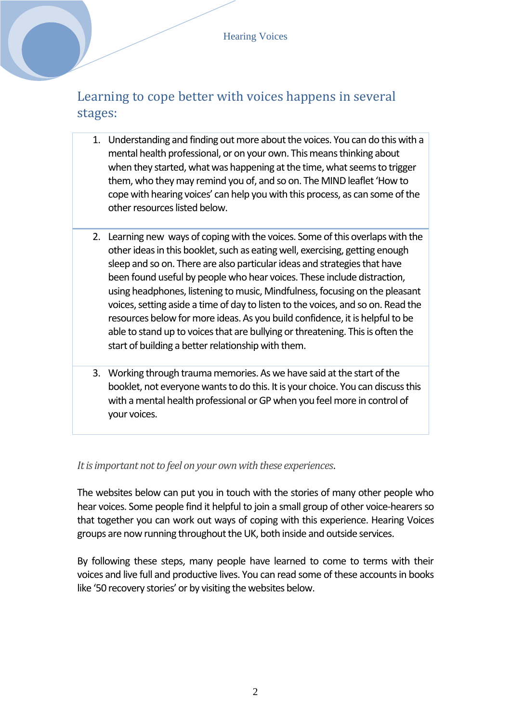### Learning to cope better with voices happens in several stages:

- 1. Understanding and finding out more about the voices. You can do this with a mental health professional, or on your own. This means thinking about when they started, what was happening at the time, what seems to trigger them, who they may remind you of, and so on. The MIND leaflet 'How to cope with hearing voices' can help you with this process, as can some of the other resources listed below.
- 2. Learning new ways of coping with the voices. Some of this overlaps with the other ideas in this booklet, such as eating well, exercising, getting enough sleep and so on. There are also particular ideas and strategies that have been found useful by people who hear voices. These include distraction, using headphones, listening to music, Mindfulness, focusing on the pleasant voices, setting aside a time of day to listen to the voices, and so on. Read the resources below for more ideas. As you build confidence, it is helpful to be able to stand up to voices that are bullying or threatening. This is often the start of building a better relationship with them.
- 3. Working through trauma memories. As we have said at the start of the booklet, not everyone wants to do this. It is your choice. You can discussthis with a mental health professional or GP when you feel more in control of your voices.

#### *It is important not to feel on your own with these experiences*.

The websites below can put you in touch with the stories of many other people who hear voices. Some people find it helpful to join a small group of other voice-hearers so that together you can work out ways of coping with this experience. Hearing Voices groups are now running throughout the UK, both inside and outside services.

By following these steps, many people have learned to come to terms with their voices and live full and productive lives. You can read some of these accounts in books like '50 recovery stories' or by visiting the websites below.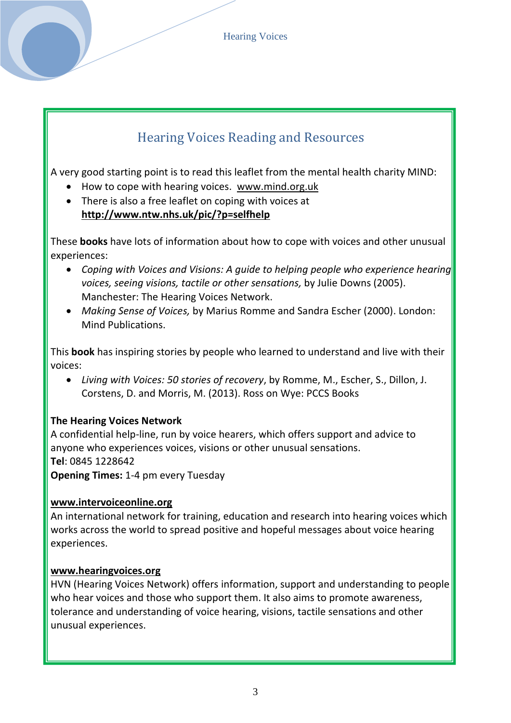Hearing Voices

## Hearing Voices Reading and Resources

A very good starting point is to read this leaflet from the mental health charity MIND:

- How to cope with hearing voices. [www.mind.org.uk](http://www.mind.org.uk/)
- There is also a free leaflet on coping with voices at **http://www.ntw.nhs.uk/pic/?p=selfhelp**

These **books** have lots of information about how to cope with voices and other unusual experiences:

- *Coping with Voices and Visions: A guide to helping people who experience hearing voices, seeing visions, tactile or other sensations,* by Julie Downs (2005). Manchester: The Hearing Voices Network.
- *Making Sense of Voices,* by Marius Romme and Sandra Escher (2000). London: Mind Publications.

This **book** has inspiring stories by people who learned to understand and live with their voices:

 *Living with Voices: 50 stories of recovery*, by Romme, M., Escher, S., Dillon, J. Corstens, D. and Morris, M. (2013). Ross on Wye: PCCS Books

### **The Hearing Voices Network**

A confidential help-line, run by voice hearers, which offers support and advice to anyone who experiences voices, visions or other unusual sensations. **Tel**: 0845 1228642

**Opening Times:** 1-4 pm every Tuesday

### **www.intervoiceonline.org**

An international network for training, education and research into hearing voices which works across the world to spread positive and hopeful messages about voice hearing experiences.

### **www.hearingvoices.org**

HVN (Hearing Voices Network) offers information, support and understanding to people who hear voices and those who support them. It also aims to promote awareness, tolerance and understanding of voice hearing, visions, tactile sensations and other unusual experiences.